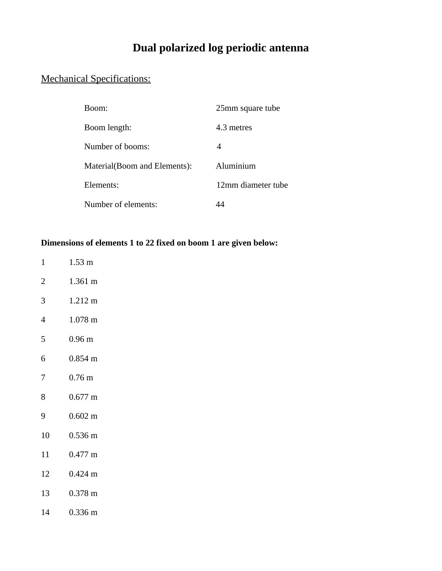## **Dual polarized log periodic antenna**

## Mechanical Specifications:

| Boom:                         | 25mm square tube   |
|-------------------------------|--------------------|
| Boom length:                  | 4.3 metres         |
| Number of booms:              | 4                  |
| Material (Boom and Elements): | Aluminium          |
| Elements:                     | 12mm diameter tube |
| Number of elements:           |                    |

## **Dimensions of elements 1 to 22 fixed on boom 1 are given below:**

- 1 1.53 m
- 2 1.361 m
- 3 1.212 m
- 4 1.078 m
- 5 0.96 m
- 6 0.854 m
- 7 0.76 m
- 8 0.677 m
- 9 0.602 m
- 10 0.536 m
- 11 0.477 m
- 12 0.424 m
- 13 0.378 m
- 14 0.336 m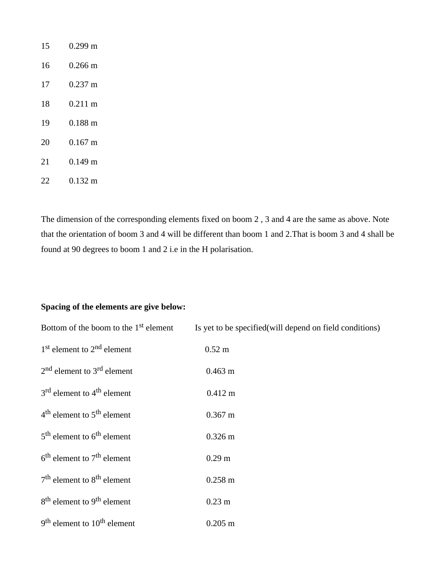| 15 | 0.299 m           |
|----|-------------------|
| 16 | 0.266 m           |
| 17 | $0.237 \text{ m}$ |
| 18 | $0.211 \text{ m}$ |
| 19 | 0.188 m           |
| 20 | $0.167 \text{ m}$ |
| 21 | $0.149 \text{ m}$ |
| 22 | $0.132 \text{ m}$ |

The dimension of the corresponding elements fixed on boom 2 , 3 and 4 are the same as above. Note that the orientation of boom 3 and 4 will be different than boom 1 and 2.That is boom 3 and 4 shall be found at 90 degrees to boom 1 and 2 i.e in the H polarisation.

## **Spacing of the elements are give below:**

| Bottom of the boom to the 1 <sup>st</sup> element   | Is yet to be specified (will depend on field conditions) |
|-----------------------------------------------------|----------------------------------------------------------|
| 1 <sup>st</sup> element to 2 <sup>nd</sup> element  | $0.52 \text{ m}$                                         |
| 2 <sup>nd</sup> element to 3 <sup>rd</sup> element  | $0.463 \text{ m}$                                        |
| 3 <sup>rd</sup> element to 4 <sup>th</sup> element  | $0.412 \text{ m}$                                        |
| $4th$ element to $5th$ element                      | $0.367 \text{ m}$                                        |
| 5 <sup>th</sup> element to 6 <sup>th</sup> element  | $0.326 \text{ m}$                                        |
| $6th$ element to $7th$ element                      | 0.29 <sub>m</sub>                                        |
| $7th$ element to $8th$ element                      | $0.258 \text{ m}$                                        |
| 8 <sup>th</sup> element to 9 <sup>th</sup> element  | 0.23 <sub>m</sub>                                        |
| 9 <sup>th</sup> element to 10 <sup>th</sup> element | $0.205 \text{ m}$                                        |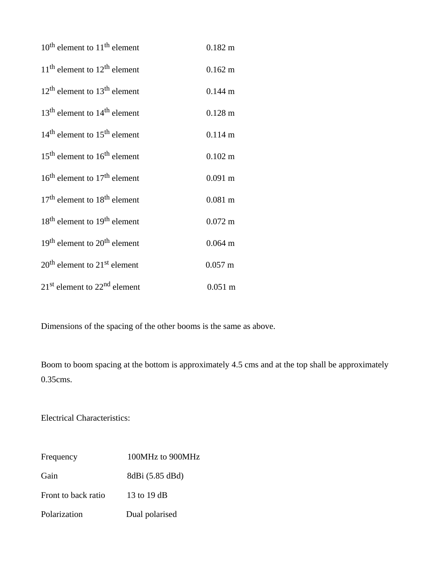| $10^{\text{th}}$ element to $11^{\text{th}}$ element | $0.182 \text{ m}$ |
|------------------------------------------------------|-------------------|
| $11th$ element to $12th$ element                     | $0.162 \text{ m}$ |
| $12th$ element to $13th$ element                     | $0.144 \text{ m}$ |
| $13th$ element to $14th$ element                     | $0.128 \text{ m}$ |
| $14th$ element to $15th$ element                     | $0.114 \text{ m}$ |
| $15th$ element to $16th$ element                     | $0.102 \text{ m}$ |
| $16th$ element to $17th$ element                     | $0.091 \text{ m}$ |
| $17th$ element to $18th$ element                     | $0.081 \; m$      |
| 18 <sup>th</sup> element to 19 <sup>th</sup> element | $0.072 \text{ m}$ |
| $19th$ element to $20th$ element                     | $0.064 \; m$      |
| 20 <sup>th</sup> element to 21 <sup>st</sup> element | $0.057 \; m$      |
| 21 <sup>st</sup> element to 22 <sup>nd</sup> element | $0.051 \text{ m}$ |

Dimensions of the spacing of the other booms is the same as above.

Boom to boom spacing at the bottom is approximately 4.5 cms and at the top shall be approximately 0.35cms.

Electrical Characteristics:

| Frequency           | 100MHz to 900MHz  |
|---------------------|-------------------|
| Gain                | 8dBi (5.85 dBd)   |
| Front to back ratio | 13 to 19 $\rm dB$ |
| Polarization        | Dual polarised    |